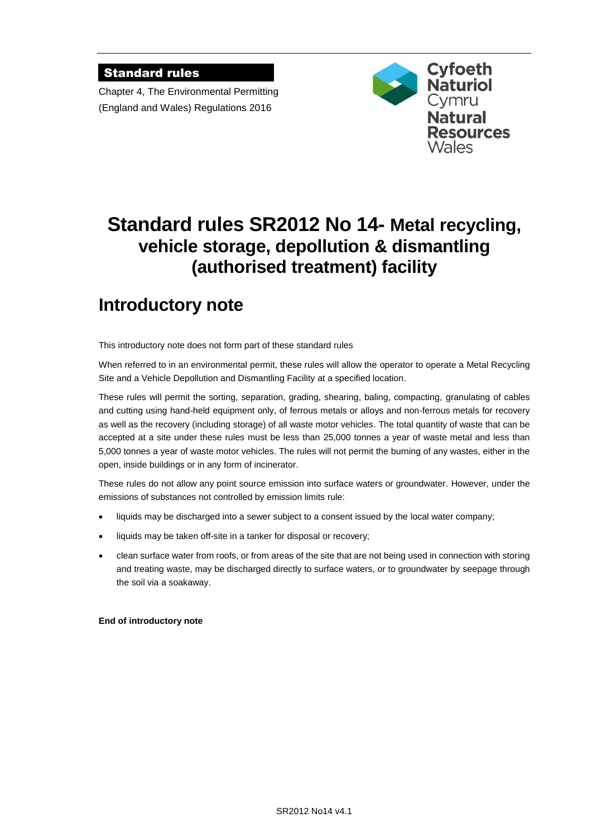### Standard rules

Chapter 4, The Environmental Permitting (England and Wales) Regulations 2016



# **Standard rules SR2012 No 14- Metal recycling, vehicle storage, depollution & dismantling (authorised treatment) facility**

# **Introductory note**

This introductory note does not form part of these standard rules

When referred to in an environmental permit, these rules will allow the operator to operate a Metal Recycling Site and a Vehicle Depollution and Dismantling Facility at a specified location.

These rules will permit the sorting, separation, grading, shearing, baling, compacting, granulating of cables and cutting using hand-held equipment only, of ferrous metals or alloys and non-ferrous metals for recovery as well as the recovery (including storage) of all waste motor vehicles. The total quantity of waste that can be accepted at a site under these rules must be less than 25,000 tonnes a year of waste metal and less than 5,000 tonnes a year of waste motor vehicles. The rules will not permit the burning of any wastes, either in the open, inside buildings or in any form of incinerator.

These rules do not allow any point source emission into surface waters or groundwater. However, under the emissions of substances not controlled by emission limits rule:

- liquids may be discharged into a sewer subject to a consent issued by the local water company;
- liquids may be taken off-site in a tanker for disposal or recovery;
- clean surface water from roofs, or from areas of the site that are not being used in connection with storing and treating waste, may be discharged directly to surface waters, or to groundwater by seepage through the soil via a soakaway.

**End of introductory note**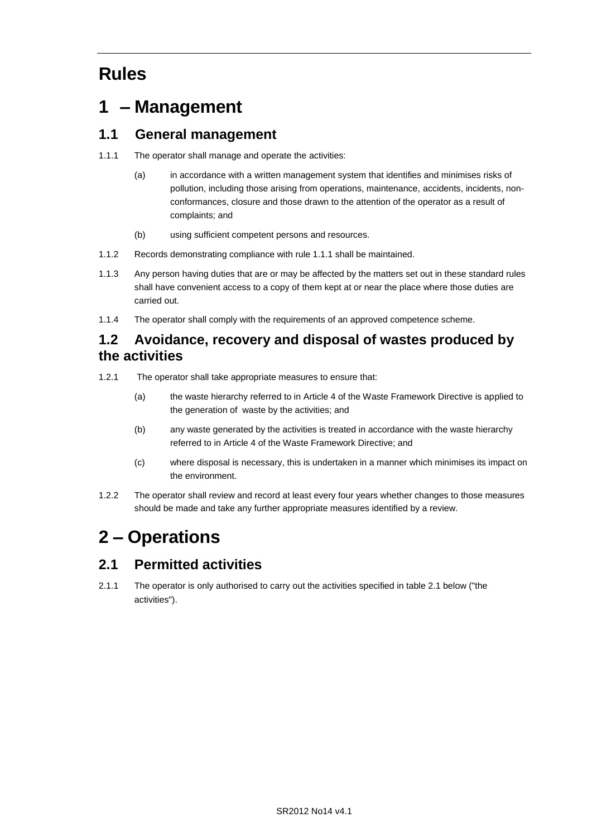# **Rules**

# **1 – Management**

## **1.1 General management**

- 1.1.1 The operator shall manage and operate the activities:
	- (a) in accordance with a written management system that identifies and minimises risks of pollution, including those arising from operations, maintenance, accidents, incidents, nonconformances, closure and those drawn to the attention of the operator as a result of complaints; and
	- (b) using sufficient competent persons and resources.
- 1.1.2 Records demonstrating compliance with rule 1.1.1 shall be maintained.
- 1.1.3 Any person having duties that are or may be affected by the matters set out in these standard rules shall have convenient access to a copy of them kept at or near the place where those duties are carried out.
- 1.1.4 The operator shall comply with the requirements of an approved competence scheme.

## **1.2 Avoidance, recovery and disposal of wastes produced by the activities**

- 1.2.1 The operator shall take appropriate measures to ensure that:
	- (a) the waste hierarchy referred to in Article 4 of the Waste Framework Directive is applied to the generation of waste by the activities; and
	- (b) any waste generated by the activities is treated in accordance with the waste hierarchy referred to in Article 4 of the Waste Framework Directive; and
	- (c) where disposal is necessary, this is undertaken in a manner which minimises its impact on the environment.
- 1.2.2 The operator shall review and record at least every four years whether changes to those measures should be made and take any further appropriate measures identified by a review.

# **2 – Operations**

## **2.1 Permitted activities**

2.1.1 The operator is only authorised to carry out the activities specified in table 2.1 below ("the activities").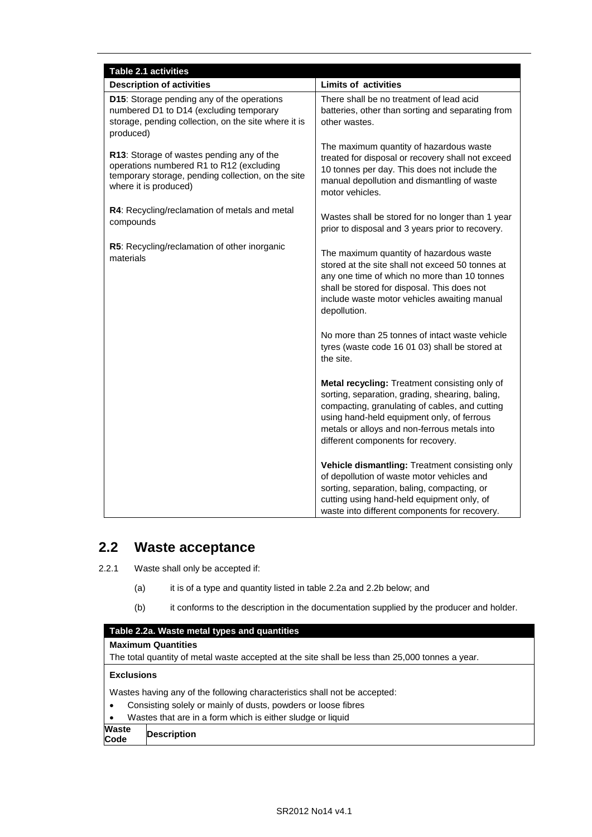| Table 2.1 activities                                                                                                                                                 |                                                                                                                                                                                                                                                                                               |  |  |
|----------------------------------------------------------------------------------------------------------------------------------------------------------------------|-----------------------------------------------------------------------------------------------------------------------------------------------------------------------------------------------------------------------------------------------------------------------------------------------|--|--|
| <b>Description of activities</b>                                                                                                                                     | <b>Limits of activities</b>                                                                                                                                                                                                                                                                   |  |  |
| D15: Storage pending any of the operations<br>numbered D1 to D14 (excluding temporary<br>storage, pending collection, on the site where it is<br>produced)           | There shall be no treatment of lead acid<br>batteries, other than sorting and separating from<br>other wastes.                                                                                                                                                                                |  |  |
| R13: Storage of wastes pending any of the<br>operations numbered R1 to R12 (excluding<br>temporary storage, pending collection, on the site<br>where it is produced) | The maximum quantity of hazardous waste<br>treated for disposal or recovery shall not exceed<br>10 tonnes per day. This does not include the<br>manual depollution and dismantling of waste<br>motor vehicles.                                                                                |  |  |
| R4: Recycling/reclamation of metals and metal<br>compounds                                                                                                           | Wastes shall be stored for no longer than 1 year<br>prior to disposal and 3 years prior to recovery.                                                                                                                                                                                          |  |  |
| R5: Recycling/reclamation of other inorganic<br>materials                                                                                                            | The maximum quantity of hazardous waste<br>stored at the site shall not exceed 50 tonnes at<br>any one time of which no more than 10 tonnes<br>shall be stored for disposal. This does not<br>include waste motor vehicles awaiting manual<br>depollution.                                    |  |  |
|                                                                                                                                                                      | No more than 25 tonnes of intact waste vehicle<br>tyres (waste code 16 01 03) shall be stored at<br>the site.                                                                                                                                                                                 |  |  |
|                                                                                                                                                                      | <b>Metal recycling:</b> Treatment consisting only of<br>sorting, separation, grading, shearing, baling,<br>compacting, granulating of cables, and cutting<br>using hand-held equipment only, of ferrous<br>metals or alloys and non-ferrous metals into<br>different components for recovery. |  |  |
|                                                                                                                                                                      | Vehicle dismantling: Treatment consisting only<br>of depollution of waste motor vehicles and<br>sorting, separation, baling, compacting, or<br>cutting using hand-held equipment only, of<br>waste into different components for recovery.                                                    |  |  |

# **2.2 Waste acceptance**

- 2.2.1 Waste shall only be accepted if:
	- (a) it is of a type and quantity listed in table 2.2a and 2.2b below; and
	- (b) it conforms to the description in the documentation supplied by the producer and holder.

| Table 2.2a. Waste metal types and quantities                                                    |                    |  |
|-------------------------------------------------------------------------------------------------|--------------------|--|
| <b>Maximum Quantities</b>                                                                       |                    |  |
| The total quantity of metal waste accepted at the site shall be less than 25,000 tonnes a year. |                    |  |
| <b>Exclusions</b>                                                                               |                    |  |
| Wastes having any of the following characteristics shall not be accepted:                       |                    |  |
| Consisting solely or mainly of dusts, powders or loose fibres<br>$\bullet$                      |                    |  |
| Wastes that are in a form which is either sludge or liquid<br>$\bullet$                         |                    |  |
| <b>Waste</b><br>Code                                                                            | <b>Description</b> |  |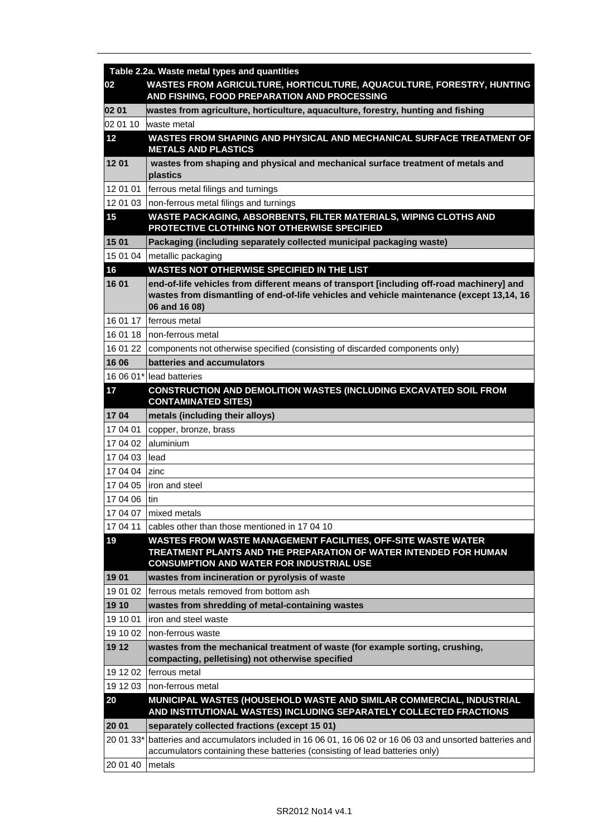|           | Table 2.2a. Waste metal types and quantities                                                                                                                                    |
|-----------|---------------------------------------------------------------------------------------------------------------------------------------------------------------------------------|
| 02        | WASTES FROM AGRICULTURE, HORTICULTURE, AQUACULTURE, FORESTRY, HUNTING<br>AND FISHING, FOOD PREPARATION AND PROCESSING                                                           |
| 02 01     | wastes from agriculture, horticulture, aquaculture, forestry, hunting and fishing                                                                                               |
| 02 01 10  | waste metal                                                                                                                                                                     |
| 12        | WASTES FROM SHAPING AND PHYSICAL AND MECHANICAL SURFACE TREATMENT OF<br><b>METALS AND PLASTICS</b>                                                                              |
| 1201      | wastes from shaping and physical and mechanical surface treatment of metals and<br>plastics                                                                                     |
| 12 01 01  | ferrous metal filings and turnings                                                                                                                                              |
|           | 12 01 03   non-ferrous metal filings and turnings                                                                                                                               |
| 15        | WASTE PACKAGING, ABSORBENTS, FILTER MATERIALS, WIPING CLOTHS AND<br>PROTECTIVE CLOTHING NOT OTHERWISE SPECIFIED                                                                 |
| 15 01     | Packaging (including separately collected municipal packaging waste)                                                                                                            |
| 15 01 04  | metallic packaging                                                                                                                                                              |
| 16        | WASTES NOT OTHERWISE SPECIFIED IN THE LIST                                                                                                                                      |
| 1601      | end-of-life vehicles from different means of transport [including off-road machinery] and                                                                                       |
|           | wastes from dismantling of end-of-life vehicles and vehicle maintenance (except 13,14, 16<br>06 and 16 08)                                                                      |
| 16 01 17  | ferrous metal                                                                                                                                                                   |
| 16 01 18  | Inon-ferrous metal                                                                                                                                                              |
| 16 01 22  | components not otherwise specified (consisting of discarded components only)                                                                                                    |
| 16 06     | batteries and accumulators                                                                                                                                                      |
|           | 16 06 01* lead batteries                                                                                                                                                        |
| 17        | <b>CONSTRUCTION AND DEMOLITION WASTES (INCLUDING EXCAVATED SOIL FROM</b><br><b>CONTAMINATED SITES)</b>                                                                          |
| 1704      | metals (including their alloys)                                                                                                                                                 |
| 17 04 01  | copper, bronze, brass                                                                                                                                                           |
| 17 04 02  | aluminium                                                                                                                                                                       |
| 17 04 03  | lead                                                                                                                                                                            |
| 17 04 04  | <b>zinc</b>                                                                                                                                                                     |
| 17 04 05  | liron and steel                                                                                                                                                                 |
| 17 04 06  | l tin                                                                                                                                                                           |
| 17 04 07  | mixed metals                                                                                                                                                                    |
| 17 04 11  | cables other than those mentioned in 17 04 10                                                                                                                                   |
| 19        | WASTES FROM WASTE MANAGEMENT FACILITIES, OFF-SITE WASTE WATER                                                                                                                   |
|           | TREATMENT PLANTS AND THE PREPARATION OF WATER INTENDED FOR HUMAN                                                                                                                |
|           | <b>CONSUMPTION AND WATER FOR INDUSTRIAL USE</b>                                                                                                                                 |
| 1901      | wastes from incineration or pyrolysis of waste                                                                                                                                  |
| 19 01 02  | ferrous metals removed from bottom ash                                                                                                                                          |
| 19 10     | wastes from shredding of metal-containing wastes                                                                                                                                |
| 19 10 01  | iron and steel waste                                                                                                                                                            |
| 19 10 02  | non-ferrous waste                                                                                                                                                               |
| 19 12     | wastes from the mechanical treatment of waste (for example sorting, crushing,<br>compacting, pelletising) not otherwise specified                                               |
| 19 12 02  | ferrous metal                                                                                                                                                                   |
| 19 12 03  |                                                                                                                                                                                 |
|           | non-ferrous metal                                                                                                                                                               |
| 20        | MUNICIPAL WASTES (HOUSEHOLD WASTE AND SIMILAR COMMERCIAL, INDUSTRIAL<br>AND INSTITUTIONAL WASTES) INCLUDING SEPARATELY COLLECTED FRACTIONS                                      |
| 20 01     | separately collected fractions (except 15 01)                                                                                                                                   |
| 20 01 33* | batteries and accumulators included in 16 06 01, 16 06 02 or 16 06 03 and unsorted batteries and<br>accumulators containing these batteries (consisting of lead batteries only) |
| 20 01 40  | metals                                                                                                                                                                          |
|           |                                                                                                                                                                                 |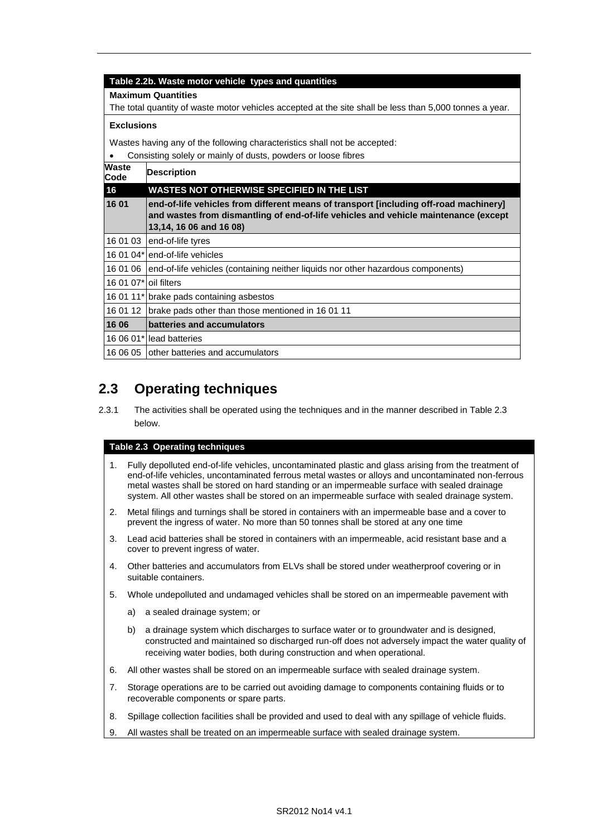#### **Table 2.2b. Waste motor vehicle types and quantities**

#### **Maximum Quantities**

The total quantity of waste motor vehicles accepted at the site shall be less than 5,000 tonnes a year.

#### **Exclusions**

Wastes having any of the following characteristics shall not be accepted:

|                       | Consisting solely or mainly of dusts, powders or loose fibres                                                                                                                                           |  |
|-----------------------|---------------------------------------------------------------------------------------------------------------------------------------------------------------------------------------------------------|--|
| Waste<br>Code         | <b>Description</b>                                                                                                                                                                                      |  |
| 16                    | WASTES NOT OTHERWISE SPECIFIED IN THE LIST                                                                                                                                                              |  |
| 16 01                 | end-of-life vehicles from different means of transport [including off-road machinery]<br>and wastes from dismantling of end-of-life vehicles and vehicle maintenance (except<br>13,14, 16 06 and 16 08) |  |
| 16 01 03              | end-of-life tyres                                                                                                                                                                                       |  |
|                       | 16 01 04* lend-of-life vehicles                                                                                                                                                                         |  |
| 16 01 06              | end-of-life vehicles (containing neither liquids nor other hazardous components)                                                                                                                        |  |
| 16 01 07* oil filters |                                                                                                                                                                                                         |  |
|                       | 16 01 11* brake pads containing asbestos                                                                                                                                                                |  |
| 16 01 12              | brake pads other than those mentioned in 16 01 11                                                                                                                                                       |  |
| 16 06                 | batteries and accumulators                                                                                                                                                                              |  |
|                       | 16 06 01*lead batteries                                                                                                                                                                                 |  |
| 16 06 05              | other batteries and accumulators                                                                                                                                                                        |  |
|                       |                                                                                                                                                                                                         |  |

## **2.3 Operating techniques**

2.3.1 The activities shall be operated using the techniques and in the manner described in Table 2.3 below.

#### **Table 2.3 Operating techniques**

- 1. Fully depolluted end-of-life vehicles, uncontaminated plastic and glass arising from the treatment of end-of-life vehicles, uncontaminated ferrous metal wastes or alloys and uncontaminated non-ferrous metal wastes shall be stored on hard standing or an impermeable surface with sealed drainage system. All other wastes shall be stored on an impermeable surface with sealed drainage system.
- 2. Metal filings and turnings shall be stored in containers with an impermeable base and a cover to prevent the ingress of water. No more than 50 tonnes shall be stored at any one time
- 3. Lead acid batteries shall be stored in containers with an impermeable, acid resistant base and a cover to prevent ingress of water.
- 4. Other batteries and accumulators from ELVs shall be stored under weatherproof covering or in suitable containers.
- 5. Whole undepolluted and undamaged vehicles shall be stored on an impermeable pavement with
	- a) a sealed drainage system; or
	- b) a drainage system which discharges to surface water or to groundwater and is designed, constructed and maintained so discharged run-off does not adversely impact the water quality of receiving water bodies, both during construction and when operational.
- 6. All other wastes shall be stored on an impermeable surface with sealed drainage system.
- 7. Storage operations are to be carried out avoiding damage to components containing fluids or to recoverable components or spare parts.
- 8. Spillage collection facilities shall be provided and used to deal with any spillage of vehicle fluids.
- 9. All wastes shall be treated on an impermeable surface with sealed drainage system.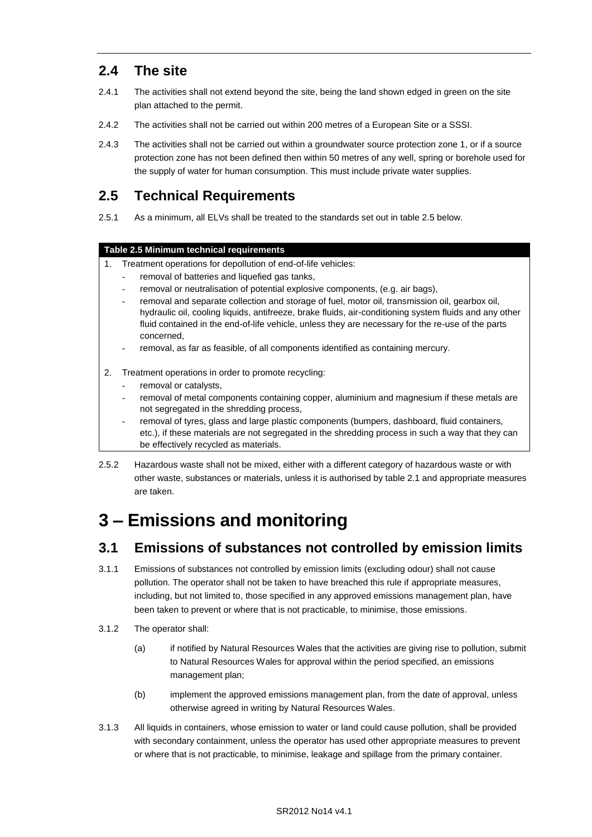## **2.4 The site**

- 2.4.1 The activities shall not extend beyond the site, being the land shown edged in green on the site plan attached to the permit.
- 2.4.2 The activities shall not be carried out within 200 metres of a European Site or a SSSI.
- 2.4.3 The activities shall not be carried out within a groundwater source protection zone 1, or if a source protection zone has not been defined then within 50 metres of any well, spring or borehole used for the supply of water for human consumption. This must include private water supplies.

## **2.5 Technical Requirements**

2.5.1 As a minimum, all ELVs shall be treated to the standards set out in table 2.5 below.

### **Table 2.5 Minimum technical requirements**

- 1. Treatment operations for depollution of end-of-life vehicles:
	- removal of batteries and liquefied gas tanks,
	- removal or neutralisation of potential explosive components, (e.g. air bags),
	- removal and separate collection and storage of fuel, motor oil, transmission oil, gearbox oil, hydraulic oil, cooling liquids, antifreeze, brake fluids, air-conditioning system fluids and any other fluid contained in the end-of-life vehicle, unless they are necessary for the re-use of the parts concerned,
	- removal, as far as feasible, of all components identified as containing mercury.
- 2. Treatment operations in order to promote recycling:
	- removal or catalysts,
	- removal of metal components containing copper, aluminium and magnesium if these metals are not segregated in the shredding process,
	- removal of tyres, glass and large plastic components (bumpers, dashboard, fluid containers, etc.), if these materials are not segregated in the shredding process in such a way that they can be effectively recycled as materials.
- 2.5.2 Hazardous waste shall not be mixed, either with a different category of hazardous waste or with other waste, substances or materials, unless it is authorised by table 2.1 and appropriate measures are taken.

# **3 – Emissions and monitoring**

### **3.1 Emissions of substances not controlled by emission limits**

- 3.1.1 Emissions of substances not controlled by emission limits (excluding odour) shall not cause pollution. The operator shall not be taken to have breached this rule if appropriate measures, including, but not limited to, those specified in any approved emissions management plan, have been taken to prevent or where that is not practicable, to minimise, those emissions.
- 3.1.2 The operator shall:
	- (a) if notified by Natural Resources Wales that the activities are giving rise to pollution, submit to Natural Resources Wales for approval within the period specified, an emissions management plan;
	- (b) implement the approved emissions management plan, from the date of approval, unless otherwise agreed in writing by Natural Resources Wales.
- 3.1.3 All liquids in containers, whose emission to water or land could cause pollution, shall be provided with secondary containment, unless the operator has used other appropriate measures to prevent or where that is not practicable, to minimise, leakage and spillage from the primary container.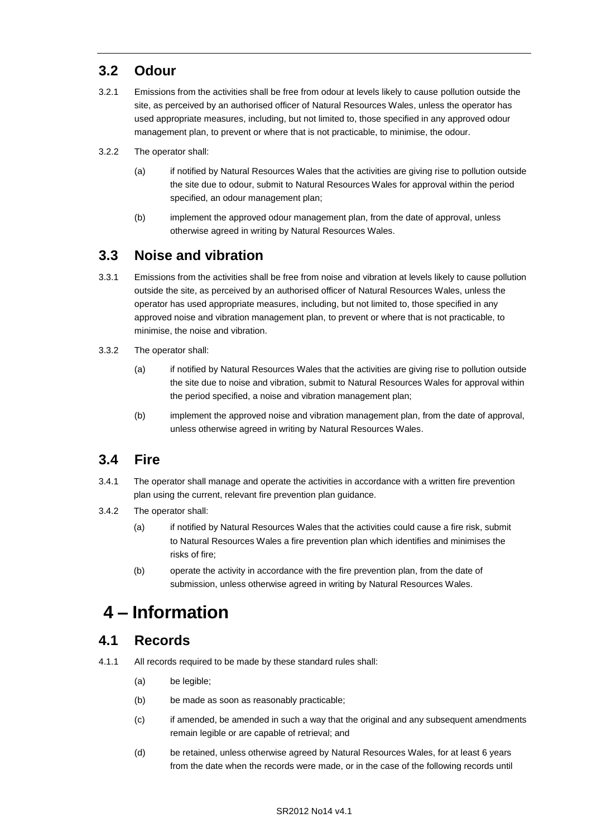# **3.2 Odour**

- 3.2.1 Emissions from the activities shall be free from odour at levels likely to cause pollution outside the site, as perceived by an authorised officer of Natural Resources Wales, unless the operator has used appropriate measures, including, but not limited to, those specified in any approved odour management plan, to prevent or where that is not practicable, to minimise, the odour.
- 3.2.2 The operator shall:
	- (a) if notified by Natural Resources Wales that the activities are giving rise to pollution outside the site due to odour, submit to Natural Resources Wales for approval within the period specified, an odour management plan;
	- (b) implement the approved odour management plan, from the date of approval, unless otherwise agreed in writing by Natural Resources Wales.

## **3.3 Noise and vibration**

- 3.3.1 Emissions from the activities shall be free from noise and vibration at levels likely to cause pollution outside the site, as perceived by an authorised officer of Natural Resources Wales, unless the operator has used appropriate measures, including, but not limited to, those specified in any approved noise and vibration management plan, to prevent or where that is not practicable, to minimise, the noise and vibration.
- 3.3.2 The operator shall:
	- (a) if notified by Natural Resources Wales that the activities are giving rise to pollution outside the site due to noise and vibration, submit to Natural Resources Wales for approval within the period specified, a noise and vibration management plan;
	- (b) implement the approved noise and vibration management plan, from the date of approval, unless otherwise agreed in writing by Natural Resources Wales.

# **3.4 Fire**

- 3.4.1 The operator shall manage and operate the activities in accordance with a written fire prevention plan using the current, relevant fire prevention plan guidance.
- 3.4.2 The operator shall:
	- (a) if notified by Natural Resources Wales that the activities could cause a fire risk, submit to Natural Resources Wales a fire prevention plan which identifies and minimises the risks of fire;
	- (b) operate the activity in accordance with the fire prevention plan, from the date of submission, unless otherwise agreed in writing by Natural Resources Wales.

# **4 – Information**

### **4.1 Records**

- 4.1.1 All records required to be made by these standard rules shall:
	- (a) be legible;
	- (b) be made as soon as reasonably practicable;
	- (c) if amended, be amended in such a way that the original and any subsequent amendments remain legible or are capable of retrieval; and
	- (d) be retained, unless otherwise agreed by Natural Resources Wales, for at least 6 years from the date when the records were made, or in the case of the following records until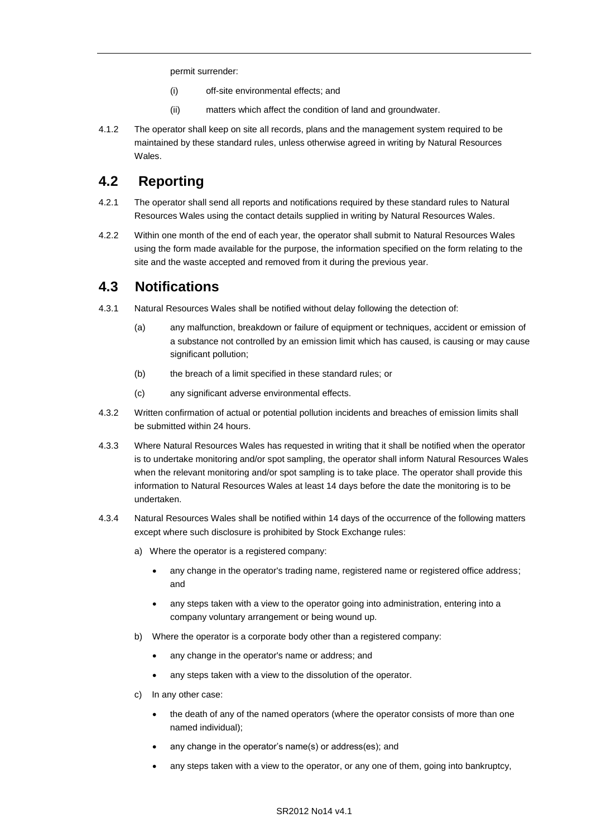permit surrender:

- (i) off-site environmental effects; and
- (ii) matters which affect the condition of land and groundwater.
- 4.1.2 The operator shall keep on site all records, plans and the management system required to be maintained by these standard rules, unless otherwise agreed in writing by Natural Resources Wales.

### **4.2 Reporting**

- 4.2.1 The operator shall send all reports and notifications required by these standard rules to Natural Resources Wales using the contact details supplied in writing by Natural Resources Wales.
- 4.2.2 Within one month of the end of each year, the operator shall submit to Natural Resources Wales using the form made available for the purpose, the information specified on the form relating to the site and the waste accepted and removed from it during the previous year.

### **4.3 Notifications**

- 4.3.1 Natural Resources Wales shall be notified without delay following the detection of:
	- (a) any malfunction, breakdown or failure of equipment or techniques, accident or emission of a substance not controlled by an emission limit which has caused, is causing or may cause significant pollution;
	- (b) the breach of a limit specified in these standard rules; or
	- (c) any significant adverse environmental effects.
- 4.3.2 Written confirmation of actual or potential pollution incidents and breaches of emission limits shall be submitted within 24 hours.
- 4.3.3 Where Natural Resources Wales has requested in writing that it shall be notified when the operator is to undertake monitoring and/or spot sampling, the operator shall inform Natural Resources Wales when the relevant monitoring and/or spot sampling is to take place. The operator shall provide this information to Natural Resources Wales at least 14 days before the date the monitoring is to be undertaken.
- 4.3.4 Natural Resources Wales shall be notified within 14 days of the occurrence of the following matters except where such disclosure is prohibited by Stock Exchange rules:
	- a) Where the operator is a registered company:
		- any change in the operator's trading name, registered name or registered office address; and
		- any steps taken with a view to the operator going into administration, entering into a company voluntary arrangement or being wound up.
	- b) Where the operator is a corporate body other than a registered company:
		- any change in the operator's name or address; and
		- any steps taken with a view to the dissolution of the operator.
	- c) In any other case:
		- the death of any of the named operators (where the operator consists of more than one named individual);
		- any change in the operator's name(s) or address(es); and
		- any steps taken with a view to the operator, or any one of them, going into bankruptcy,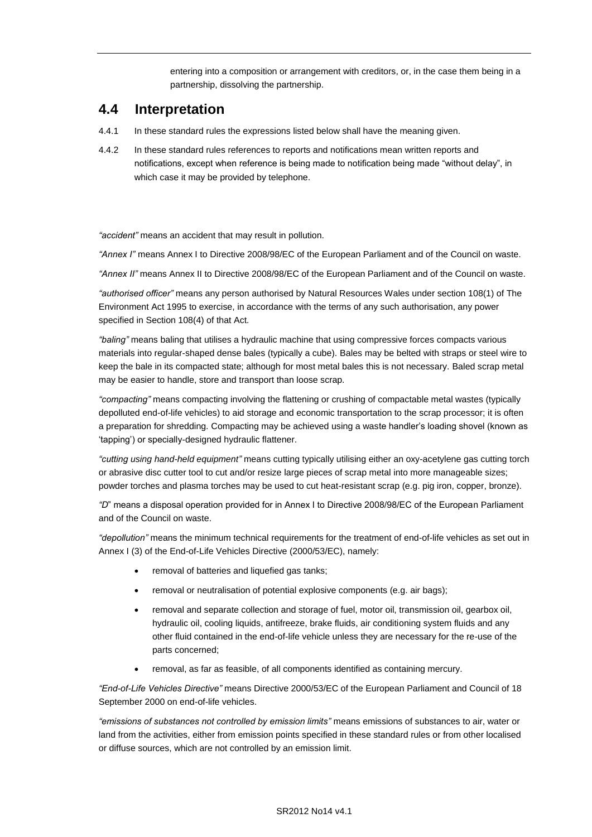entering into a composition or arrangement with creditors, or, in the case them being in a partnership, dissolving the partnership.

### **4.4 Interpretation**

- 4.4.1 In these standard rules the expressions listed below shall have the meaning given.
- 4.4.2 In these standard rules references to reports and notifications mean written reports and notifications, except when reference is being made to notification being made "without delay", in which case it may be provided by telephone.

*"accident"* means an accident that may result in pollution.

*"Annex I"* means Annex I to Directive 2008/98/EC of the European Parliament and of the Council on waste.

*"Annex II"* means Annex II to Directive 2008/98/EC of the European Parliament and of the Council on waste.

*"authorised officer"* means any person authorised by Natural Resources Wales under section 108(1) of The Environment Act 1995 to exercise, in accordance with the terms of any such authorisation, any power specified in Section 108(4) of that Act*.*

*"baling"* means baling that utilises a hydraulic machine that using compressive forces compacts various materials into regular-shaped dense bales (typically a cube). Bales may be belted with straps or steel wire to keep the bale in its compacted state; although for most metal bales this is not necessary. Baled scrap metal may be easier to handle, store and transport than loose scrap.

*"compacting"* means compacting involving the flattening or crushing of compactable metal wastes (typically depolluted end-of-life vehicles) to aid storage and economic transportation to the scrap processor; it is often a preparation for shredding. Compacting may be achieved using a waste handler's loading shovel (known as 'tapping') or specially-designed hydraulic flattener.

*"cutting using hand-held equipment"* means cutting typically utilising either an oxy-acetylene gas cutting torch or abrasive disc cutter tool to cut and/or resize large pieces of scrap metal into more manageable sizes; powder torches and plasma torches may be used to cut heat-resistant scrap (e.g. pig iron, copper, bronze).

*"D*" means a disposal operation provided for in Annex I to Directive 2008/98/EC of the European Parliament and of the Council on waste.

*"depollution"* means the minimum technical requirements for the treatment of end-of-life vehicles as set out in Annex I (3) of the End-of-Life Vehicles Directive (2000/53/EC), namely:

- removal of batteries and liquefied gas tanks;
- removal or neutralisation of potential explosive components (e.g. air bags);
- removal and separate collection and storage of fuel, motor oil, transmission oil, gearbox oil, hydraulic oil, cooling liquids, antifreeze, brake fluids, air conditioning system fluids and any other fluid contained in the end-of-life vehicle unless they are necessary for the re-use of the parts concerned;
- removal, as far as feasible, of all components identified as containing mercury.

*"End-of-Life Vehicles Directive"* means Directive 2000/53/EC of the European Parliament and Council of 18 September 2000 on end-of-life vehicles.

*"emissions of substances not controlled by emission limits"* means emissions of substances to air, water or land from the activities, either from emission points specified in these standard rules or from other localised or diffuse sources, which are not controlled by an emission limit.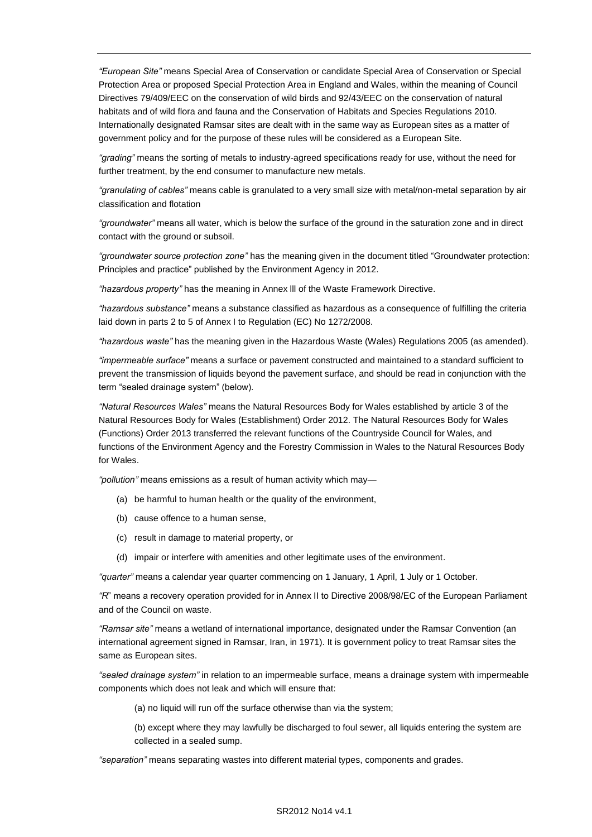*"European Site"* means Special Area of Conservation or candidate Special Area of Conservation or Special Protection Area or proposed Special Protection Area in England and Wales, within the meaning of Council Directives 79/409/EEC on the conservation of wild birds and 92/43/EEC on the conservation of natural habitats and of wild flora and fauna and the Conservation of Habitats and Species Regulations 2010. Internationally designated Ramsar sites are dealt with in the same way as European sites as a matter of government policy and for the purpose of these rules will be considered as a European Site.

*"grading"* means the sorting of metals to industry-agreed specifications ready for use, without the need for further treatment, by the end consumer to manufacture new metals.

*"granulating of cables"* means cable is granulated to a very small size with metal/non-metal separation by air classification and flotation

*"groundwater"* means all water, which is below the surface of the ground in the saturation zone and in direct contact with the ground or subsoil.

*"groundwater source protection zone"* has the meaning given in the document titled "Groundwater protection: Principles and practice" published by the Environment Agency in 2012.

*"hazardous property"* has the meaning in Annex lll of the Waste Framework Directive.

*"hazardous substance"* means a substance classified as hazardous as a consequence of fulfilling the criteria laid down in parts 2 to 5 of Annex I to Regulation (EC) No 1272/2008.

*"hazardous waste"* has the meaning given in the Hazardous Waste (Wales) Regulations 2005 (as amended).

*"impermeable surface"* means a surface or pavement constructed and maintained to a standard sufficient to prevent the transmission of liquids beyond the pavement surface, and should be read in conjunction with the term "sealed drainage system" (below).

*"Natural Resources Wales"* means the Natural Resources Body for Wales established by article 3 of the Natural Resources Body for Wales (Establishment) Order 2012. The Natural Resources Body for Wales (Functions) Order 2013 transferred the relevant functions of the Countryside Council for Wales, and functions of the Environment Agency and the Forestry Commission in Wales to the Natural Resources Body for Wales.

*"pollution"* means emissions as a result of human activity which may—

- (a) be harmful to human health or the quality of the environment,
- (b) cause offence to a human sense,
- (c) result in damage to material property, or
- (d) impair or interfere with amenities and other legitimate uses of the environment.

*"quarter"* means a calendar year quarter commencing on 1 January, 1 April, 1 July or 1 October.

*"R*" means a recovery operation provided for in Annex II to Directive 2008/98/EC of the European Parliament and of the Council on waste.

*"Ramsar site"* means a wetland of international importance, designated under the Ramsar Convention (an international agreement signed in Ramsar, Iran, in 1971). It is government policy to treat Ramsar sites the same as European sites.

*"sealed drainage system"* in relation to an impermeable surface, means a drainage system with impermeable components which does not leak and which will ensure that:

(a) no liquid will run off the surface otherwise than via the system;

(b) except where they may lawfully be discharged to foul sewer, all liquids entering the system are collected in a sealed sump.

*"separation"* means separating wastes into different material types, components and grades.

#### SR2012 No14 v4.1